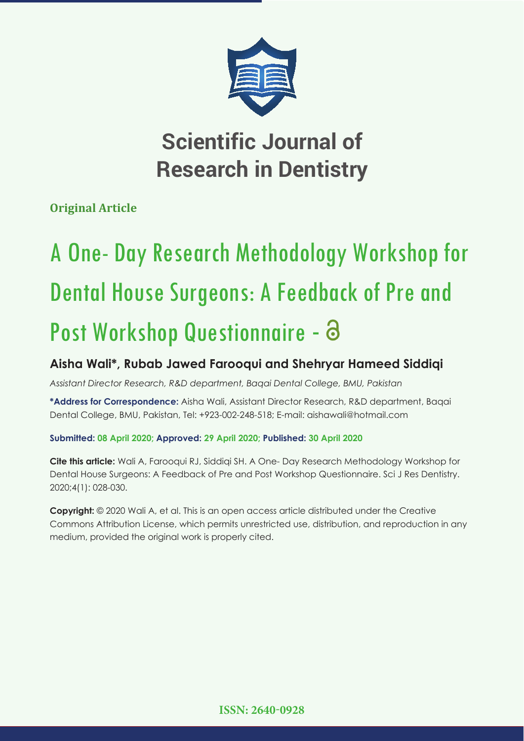

## **Scientific Journal of Research in Dentistry**

**Original Article**

# A One- Day Research Methodology Workshop for Dental House Surgeons: A Feedback of Pre and Post Workshop Questionnaire - 8

### **Aisha Wali\*, Rubab Jawed Farooqui and Shehryar Hameed Siddiqi**

*Assistant Director Research, R&D department, Baqai Dental College, BMU, Pakistan*

**\*Address for Correspondence:** Aisha Wali, Assistant Director Research, R&D department, Baqai Dental College, BMU, Pakistan, Tel: +923-002-248-518; E-mail: aishawali@hotmail.com

#### **Submitted: 08 April 2020; Approved: 29 April 2020; Published: 30 April 2020**

**Cite this article:** Wali A, Farooqui RJ, Siddiqi SH. A One- Day Research Methodology Workshop for Dental House Surgeons: A Feedback of Pre and Post Workshop Questionnaire. Sci J Res Dentistry. 2020;4(1): 028-030.

**Copyright:** © 2020 Wali A, et al. This is an open access article distributed under the Creative Commons Attribution License, which permits unrestricted use, distribution, and reproduction in any medium, provided the original work is properly cited.

**ISSN: 2640-0928**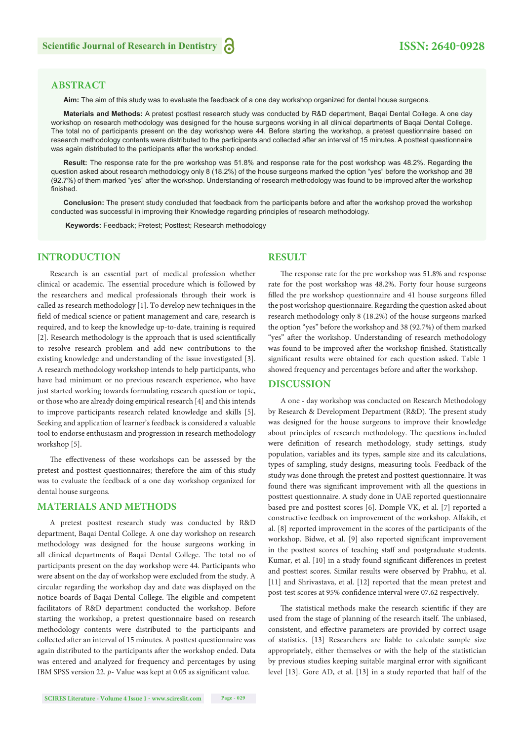#### **ABSTRACT**

**Aim:** The aim of this study was to evaluate the feedback of a one day workshop organized for dental house surgeons.

**Materials and Methods:** A pretest posttest research study was conducted by R&D department, Baqai Dental College. A one day workshop on research methodology was designed for the house surgeons working in all clinical departments of Baqai Dental College. The total no of participants present on the day workshop were 44. Before starting the workshop, a pretest questionnaire based on research methodology contents were distributed to the participants and collected after an interval of 15 minutes. A posttest questionnaire was again distributed to the participants after the workshop ended.

**Result:** The response rate for the pre workshop was 51.8% and response rate for the post workshop was 48.2%. Regarding the question asked about research methodology only 8 (18.2%) of the house surgeons marked the option "yes" before the workshop and 38 (92.7%) of them marked "yes" after the workshop. Understanding of research methodology was found to be improved after the workshop finished.

**Conclusion:** The present study concluded that feedback from the participants before and after the workshop proved the workshop conducted was successful in improving their Knowledge regarding principles of research methodology.

 **Keywords:** Feedback; Pretest; Posttest; Research methodology

#### **INTRODUCTION**

Research is an essential part of medical profession whether clinical or academic. The essential procedure which is followed by the researchers and medical professionals through their work is called as research methodology [1]. To develop new techniques in the field of medical science or patient management and care, research is required, and to keep the knowledge up-to-date, training is required [2]. Research methodology is the approach that is used scientifically to resolve research problem and add new contributions to the existing knowledge and understanding of the issue investigated [3]. A research methodology workshop intends to help participants, who have had minimum or no previous research experience, who have just started working towards formulating research question or topic, or those who are already doing empirical research [4] and this intends to improve participants research related knowledge and skills [5]. Seeking and application of learner's feedback is considered a valuable tool to endorse enthusiasm and progression in research methodology workshop [5].

The effectiveness of these workshops can be assessed by the pretest and posttest questionnaires; therefore the aim of this study was to evaluate the feedback of a one day workshop organized for dental house surgeons.

#### **MATERIALS AND METHODS**

A pretest posttest research study was conducted by R&D department, Baqai Dental College. A one day workshop on research methodology was designed for the house surgeons working in all clinical departments of Baqai Dental College. The total no of participants present on the day workshop were 44. Participants who were absent on the day of workshop were excluded from the study. A circular regarding the workshop day and date was displayed on the notice boards of Baqai Dental College. The eligible and competent facilitators of R&D department conducted the workshop. Before starting the workshop, a pretest questionnaire based on research methodology contents were distributed to the participants and collected after an interval of 15 minutes. A posttest questionnaire was again distributed to the participants after the workshop ended. Data was entered and analyzed for frequency and percentages by using IBM SPSS version 22. *p*- Value was kept at 0.05 as significant value.

#### **RESULT**

The response rate for the pre workshop was 51.8% and response rate for the post workshop was 48.2%. Forty four house surgeons filled the pre workshop questionnaire and 41 house surgeons filled the post workshop questionnaire. Regarding the question asked about research methodology only 8 (18.2%) of the house surgeons marked the option "yes" before the workshop and 38 (92.7%) of them marked "yes" after the workshop. Understanding of research methodology was found to be improved after the workshop finished. Statistically significant results were obtained for each question asked. Table 1 showed frequency and percentages before and after the workshop.

#### **DISCUSSION**

A one - day workshop was conducted on Research Methodology by Research & Development Department (R&D). The present study was designed for the house surgeons to improve their knowledge about principles of research methodology. The questions included were definition of research methodology, study settings, study population, variables and its types, sample size and its calculations, types of sampling, study designs, measuring tools. Feedback of the study was done through the pretest and posttest questionnaire. It was found there was significant improvement with all the questions in posttest questionnaire. A study done in UAE reported questionnaire based pre and posttest scores [6]. Domple VK, et al. [7] reported a constructive feedback on improvement of the workshop. Alfakih, et al. [8] reported improvement in the scores of the participants of the workshop. Bidwe, et al. [9] also reported significant improvement in the posttest scores of teaching staff and postgraduate students. Kumar, et al. [10] in a study found significant differences in pretest and posttest scores. Similar results were observed by Prabhu, et al. [11] and Shrivastava, et al. [12] reported that the mean pretest and post-test scores at 95% confidence interval were 07.62 respectively.

The statistical methods make the research scientific if they are used from the stage of planning of the research itself. The unbiased, consistent, and effective parameters are provided by correct usage of statistics. [13] Researchers are liable to calculate sample size appropriately, either themselves or with the help of the statistician by previous studies keeping suitable marginal error with significant level [13]. Gore AD, et al. [13] in a study reported that half of the